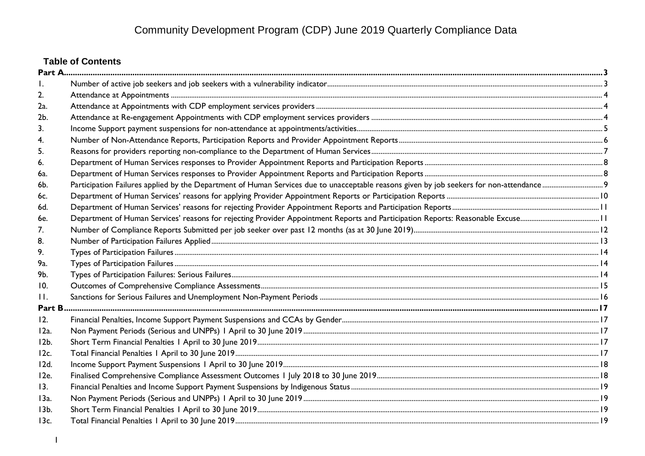# **Table of Contents**

| 2.              |  |
|-----------------|--|
| 2a.             |  |
| 2 <sub>b</sub>  |  |
| 3.              |  |
|                 |  |
| 5.              |  |
| 6.              |  |
| 6a.             |  |
| 6b.             |  |
| 6c.             |  |
| 6d.             |  |
| 6e.             |  |
| 7.              |  |
| 8.              |  |
| 9.              |  |
| 9a.             |  |
| 9b.             |  |
| 10.             |  |
| $\mathbf{H}$ .  |  |
|                 |  |
| 12.             |  |
| $12a$ .         |  |
| 12 <sub>b</sub> |  |
| 12c.            |  |
| 12d.            |  |
| 12e.            |  |
| 13.             |  |
| 13a.            |  |
| 13 <sub>b</sub> |  |
| 13c.            |  |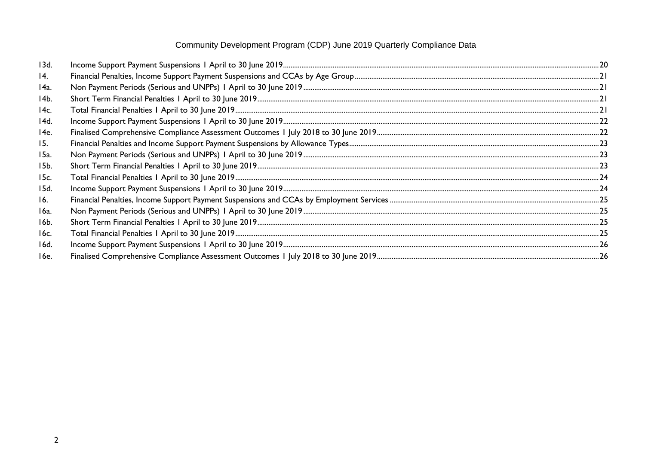| 13d.              |  |
|-------------------|--|
| $\overline{14}$ . |  |
| 14a.              |  |
| $14b$ .           |  |
| 14c.              |  |
| 14d.              |  |
| 14e.              |  |
| 15.               |  |
| 15a.              |  |
| 15b.              |  |
| 15c.              |  |
| 15d.              |  |
| 16.               |  |
| 16a.              |  |
| 16b.              |  |
| 16c.              |  |
| 16d.              |  |
| 16e.              |  |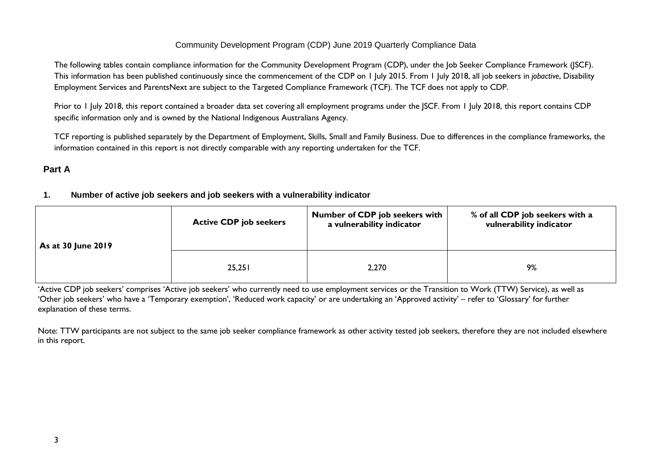The following tables contain compliance information for the Community Development Program (CDP), under the Job Seeker Compliance Framework (JSCF). This information has been published continuously since the commencement of the CDP on 1 July 2015. From 1 July 2018, all job seekers in *jobactive*, Disability Employment Services and ParentsNext are subject to the Targeted Compliance Framework (TCF). The TCF does not apply to CDP.

Prior to 1 July 2018, this report contained a broader data set covering all employment programs under the JSCF. From 1 July 2018, this report contains CDP specific information only and is owned by the National Indigenous Australians Agency.

TCF reporting is published separately by the Department of Employment, Skills, Small and Family Business. Due to differences in the compliance frameworks, the information contained in this report is not directly comparable with any reporting undertaken for the TCF.

# <span id="page-2-1"></span><span id="page-2-0"></span>**Part A**

# **1. Number of active job seekers and job seekers with a vulnerability indicator**

| As at 30 June 2019 | <b>Active CDP job seekers</b> | <b>Number of CDP job seekers with</b><br>a vulnerability indicator | % of all CDP job seekers with a<br>vulnerability indicator |
|--------------------|-------------------------------|--------------------------------------------------------------------|------------------------------------------------------------|
|                    | 25,251                        | 2,270                                                              | 9%                                                         |

'Active CDP job seekers' comprises 'Active job seekers' who currently need to use employment services or the Transition to Work (TTW) Service), as well as 'Other job seekers' who have a 'Temporary exemption', 'Reduced work capacity' or are undertaking an 'Approved activity' – refer to 'Glossary' for further explanation of these terms.

Note: TTW participants are not subject to the same job seeker compliance framework as other activity tested job seekers, therefore they are not included elsewhere in this report.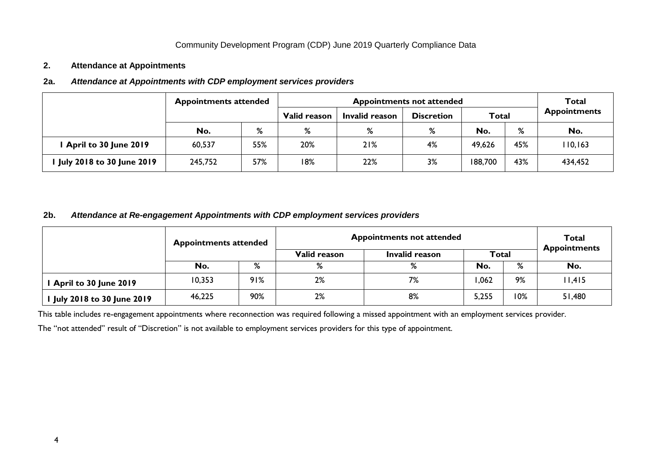#### <span id="page-3-0"></span>**2. Attendance at Appointments**

#### <span id="page-3-1"></span>**2a.** *Attendance at Appointments with CDP employment services providers*

| <b>Appointments attended</b> |                      |     |                     | Total                               |        |              |          |                     |
|------------------------------|----------------------|-----|---------------------|-------------------------------------|--------|--------------|----------|---------------------|
|                              |                      |     | <b>Valid reason</b> | Invalid reason<br><b>Discretion</b> |        | <b>Total</b> |          | <b>Appointments</b> |
|                              | No.                  | %   | %                   | %                                   | %      | No.          | %        | No.                 |
| April to 30 June 2019        | 20%<br>55%<br>60,537 |     | 21%                 | 4%                                  | 49,626 | 45%          | 110, 163 |                     |
| July 2018 to 30 June 2019    | 245,752              | 57% | 18%                 | 22%                                 | 3%     | 188,700      | 43%      | 434,452             |

#### <span id="page-3-2"></span>**2b.** *Attendance at Re-engagement Appointments with CDP employment services providers*

| <b>Appointments attended</b> |        |     | <b>Appointments not attended</b> | <b>Total</b><br><b>Appointments</b> |              |     |        |
|------------------------------|--------|-----|----------------------------------|-------------------------------------|--------------|-----|--------|
|                              |        |     |                                  | Invalid reason                      | <b>Total</b> |     |        |
|                              | No.    | %   | %                                | %                                   | No.          | %   | No.    |
| April to 30 June 2019        | 10,353 | 91% | 2%                               | 7%                                  | 1,062        | 9%  | 11,415 |
| July 2018 to 30 June 2019    | 46,225 | 90% | 2%                               | 8%                                  | 5,255        | 10% | 51,480 |

This table includes re-engagement appointments where reconnection was required following a missed appointment with an employment services provider.

The "not attended" result of "Discretion" is not available to employment services providers for this type of appointment.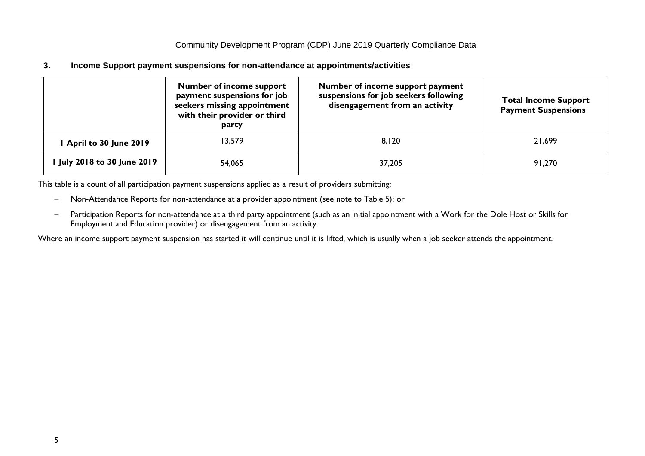<span id="page-4-0"></span>**3. Income Support payment suspensions for non-attendance at appointments/activities**

| <b>Number of income support</b><br>payment suspensions for job<br>seekers missing appointment<br>with their provider or third<br>party |        | Number of income support payment<br>suspensions for job seekers following<br>disengagement from an activity | <b>Total Income Support</b><br><b>Payment Suspensions</b> |  |
|----------------------------------------------------------------------------------------------------------------------------------------|--------|-------------------------------------------------------------------------------------------------------------|-----------------------------------------------------------|--|
| April to 30 June 2019                                                                                                                  | 13,579 | 8,120                                                                                                       | 21,699                                                    |  |
| July 2018 to 30 June 2019                                                                                                              | 54,065 | 37,205                                                                                                      | 91,270                                                    |  |

This table is a count of all participation payment suspensions applied as a result of providers submitting:

- − Non-Attendance Reports for non-attendance at a provider appointment (see note to Table 5); or
- − Participation Reports for non-attendance at a third party appointment (such as an initial appointment with a Work for the Dole Host or Skills for Employment and Education provider) or disengagement from an activity.

Where an income support payment suspension has started it will continue until it is lifted, which is usually when a job seeker attends the appointment.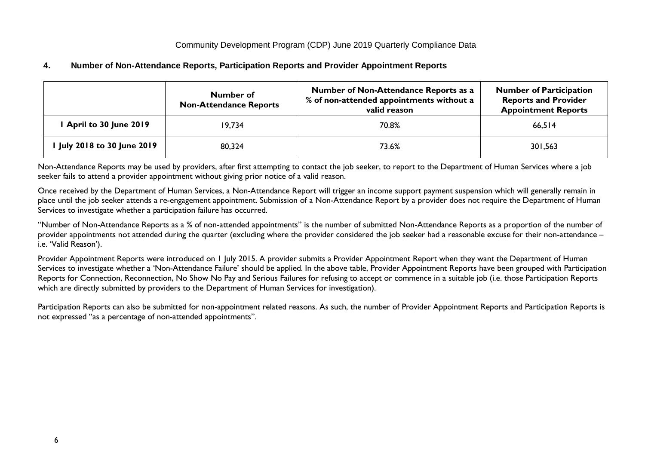# <span id="page-5-0"></span>**4. Number of Non-Attendance Reports, Participation Reports and Provider Appointment Reports**

|                           | Number of<br><b>Non-Attendance Reports</b> | Number of Non-Attendance Reports as a<br>% of non-attended appointments without a<br>valid reason | <b>Number of Participation</b><br><b>Reports and Provider</b><br><b>Appointment Reports</b> |
|---------------------------|--------------------------------------------|---------------------------------------------------------------------------------------------------|---------------------------------------------------------------------------------------------|
| April to 30 June 2019     | 19.734                                     | 70.8%                                                                                             | 66,514                                                                                      |
| July 2018 to 30 June 2019 | 80,324                                     | 73.6%                                                                                             | 301,563                                                                                     |

Non-Attendance Reports may be used by providers, after first attempting to contact the job seeker, to report to the Department of Human Services where a job seeker fails to attend a provider appointment without giving prior notice of a valid reason.

Once received by the Department of Human Services, a Non-Attendance Report will trigger an income support payment suspension which will generally remain in place until the job seeker attends a re-engagement appointment. Submission of a Non-Attendance Report by a provider does not require the Department of Human Services to investigate whether a participation failure has occurred.

"Number of Non-Attendance Reports as a % of non-attended appointments" is the number of submitted Non-Attendance Reports as a proportion of the number of provider appointments not attended during the quarter (excluding where the provider considered the job seeker had a reasonable excuse for their non-attendance – i.e. 'Valid Reason').

Provider Appointment Reports were introduced on 1 July 2015. A provider submits a Provider Appointment Report when they want the Department of Human Services to investigate whether a 'Non-Attendance Failure' should be applied. In the above table, Provider Appointment Reports have been grouped with Participation Reports for Connection, Reconnection, No Show No Pay and Serious Failures for refusing to accept or commence in a suitable job (i.e. those Participation Reports which are directly submitted by providers to the Department of Human Services for investigation).

Participation Reports can also be submitted for non-appointment related reasons. As such, the number of Provider Appointment Reports and Participation Reports is not expressed "as a percentage of non-attended appointments".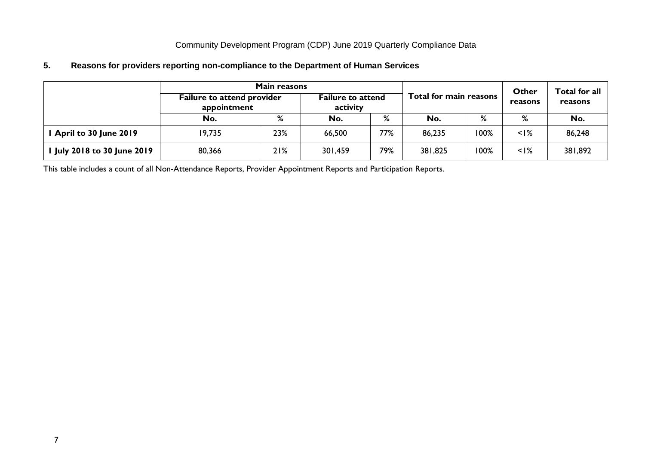# <span id="page-6-0"></span>**5. Reasons for providers reporting non-compliance to the Department of Human Services**

| <b>Main reasons</b>       |                                                  |     |                                      |     |                        |      |                  | Total for all |
|---------------------------|--------------------------------------------------|-----|--------------------------------------|-----|------------------------|------|------------------|---------------|
|                           | <b>Failure to attend provider</b><br>appointment |     | <b>Failure to attend</b><br>activity |     | Total for main reasons |      | Other<br>reasons | reasons       |
|                           | No.                                              | %   | No.                                  | %   | No.                    | %    | %                | No.           |
| April to 30 June 2019     | 19,735                                           | 23% | 66,500                               | 77% | 86,235                 | 100% | $<$ $1\%$        | 86,248        |
| July 2018 to 30 June 2019 | 80,366                                           | 21% | 301,459                              | 79% | 381,825                | 100% | $<$ I%           | 381,892       |

This table includes a count of all Non-Attendance Reports, Provider Appointment Reports and Participation Reports.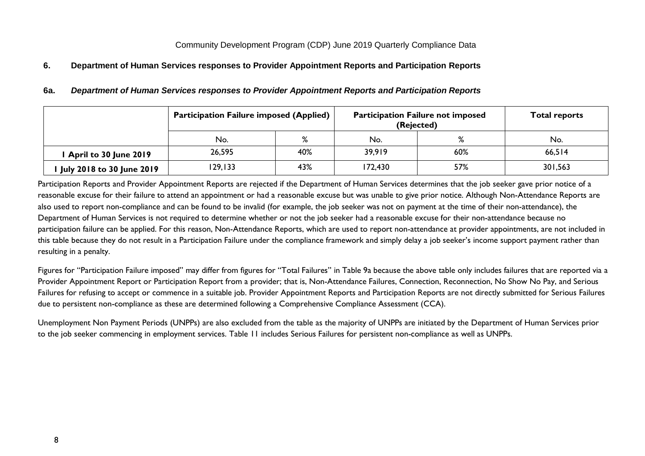# <span id="page-7-1"></span><span id="page-7-0"></span>**6. Department of Human Services responses to Provider Appointment Reports and Participation Reports**

|                                  | <b>Participation Failure imposed (Applied)</b> |     |         | <b>Participation Failure not imposed</b><br>(Rejected) |         |  |
|----------------------------------|------------------------------------------------|-----|---------|--------------------------------------------------------|---------|--|
|                                  | No.                                            | %   | No.     | ℅                                                      | No.     |  |
| April to 30 June 2019            | 26,595                                         | 40% | 39,919  | 60%                                                    | 66,514  |  |
| <b>July 2018 to 30 June 2019</b> | 129,133                                        | 43% | 172,430 | 57%                                                    | 301,563 |  |

#### **6a.** *Department of Human Services responses to Provider Appointment Reports and Participation Reports*

Participation Reports and Provider Appointment Reports are rejected if the Department of Human Services determines that the job seeker gave prior notice of a reasonable excuse for their failure to attend an appointment or had a reasonable excuse but was unable to give prior notice. Although Non-Attendance Reports are also used to report non-compliance and can be found to be invalid (for example, the job seeker was not on payment at the time of their non-attendance), the Department of Human Services is not required to determine whether or not the job seeker had a reasonable excuse for their non-attendance because no participation failure can be applied. For this reason, Non-Attendance Reports, which are used to report non-attendance at provider appointments, are not included in this table because they do not result in a Participation Failure under the compliance framework and simply delay a job seeker's income support payment rather than resulting in a penalty.

Figures for "Participation Failure imposed" may differ from figures for "Total Failures" in Table 9a because the above table only includes failures that are reported via a Provider Appointment Report or Participation Report from a provider; that is, Non-Attendance Failures, Connection, Reconnection, No Show No Pay, and Serious Failures for refusing to accept or commence in a suitable job. Provider Appointment Reports and Participation Reports are not directly submitted for Serious Failures due to persistent non-compliance as these are determined following a Comprehensive Compliance Assessment (CCA).

Unemployment Non Payment Periods (UNPPs) are also excluded from the table as the majority of UNPPs are initiated by the Department of Human Services prior to the job seeker commencing in employment services. Table 11 includes Serious Failures for persistent non-compliance as well as UNPPs.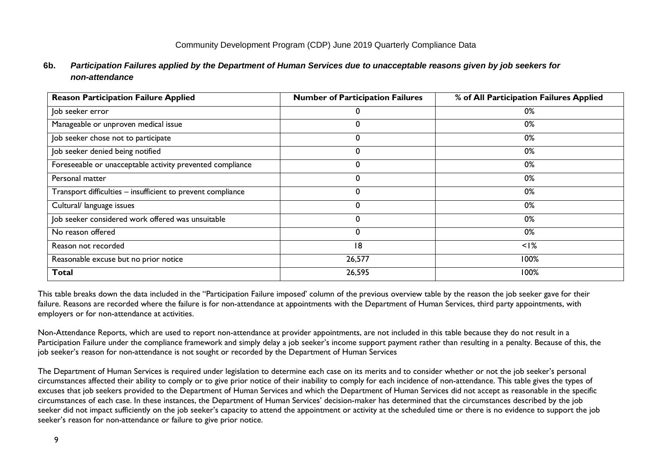# <span id="page-8-0"></span>**6b.** *Participation Failures applied by the Department of Human Services due to unacceptable reasons given by job seekers for non-attendance*

| <b>Reason Participation Failure Applied</b>                 | <b>Number of Participation Failures</b> | % of All Participation Failures Applied |
|-------------------------------------------------------------|-----------------------------------------|-----------------------------------------|
| Job seeker error                                            | 0                                       | 0%                                      |
| Manageable or unproven medical issue                        | 0                                       | 0%                                      |
| Job seeker chose not to participate                         | 0                                       | 0%                                      |
| Job seeker denied being notified                            | 0                                       | 0%                                      |
| Foreseeable or unacceptable activity prevented compliance   | 0                                       | 0%                                      |
| Personal matter                                             | 0                                       | 0%                                      |
| Transport difficulties - insufficient to prevent compliance | 0                                       | 0%                                      |
| Cultural/ language issues                                   | 0                                       | 0%                                      |
| Job seeker considered work offered was unsuitable           | 0                                       | 0%                                      |
| No reason offered                                           | 0                                       | 0%                                      |
| Reason not recorded                                         | 18                                      | $<$ I%                                  |
| Reasonable excuse but no prior notice                       | 26,577                                  | 100%                                    |
| <b>Total</b>                                                | 26,595                                  | 100%                                    |

This table breaks down the data included in the "Participation Failure imposed' column of the previous overview table by the reason the job seeker gave for their failure. Reasons are recorded where the failure is for non-attendance at appointments with the Department of Human Services, third party appointments, with employers or for non-attendance at activities.

Non-Attendance Reports, which are used to report non-attendance at provider appointments, are not included in this table because they do not result in a Participation Failure under the compliance framework and simply delay a job seeker's income support payment rather than resulting in a penalty. Because of this, the job seeker's reason for non-attendance is not sought or recorded by the Department of Human Services

The Department of Human Services is required under legislation to determine each case on its merits and to consider whether or not the job seeker's personal circumstances affected their ability to comply or to give prior notice of their inability to comply for each incidence of non-attendance. This table gives the types of excuses that job seekers provided to the Department of Human Services and which the Department of Human Services did not accept as reasonable in the specific circumstances of each case. In these instances, the Department of Human Services' decision-maker has determined that the circumstances described by the job seeker did not impact sufficiently on the job seeker's capacity to attend the appointment or activity at the scheduled time or there is no evidence to support the job seeker's reason for non-attendance or failure to give prior notice.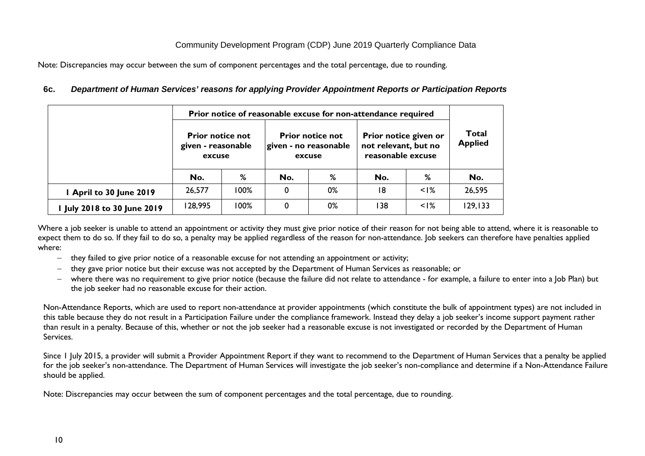Note: Discrepancies may occur between the sum of component percentages and the total percentage, due to rounding.

<span id="page-9-0"></span>

|  | 6c. Department of Human Services' reasons for applying Provider Appointment Reports or Participation Reports |  |  |  |
|--|--------------------------------------------------------------------------------------------------------------|--|--|--|
|--|--------------------------------------------------------------------------------------------------------------|--|--|--|

| Prior notice of reasonable excuse for non-attendance required |                                                         |      |                                                            |    |                                                                    |           |                                |  |
|---------------------------------------------------------------|---------------------------------------------------------|------|------------------------------------------------------------|----|--------------------------------------------------------------------|-----------|--------------------------------|--|
|                                                               | <b>Prior notice not</b><br>given - reasonable<br>excuse |      | <b>Prior notice not</b><br>given - no reasonable<br>excuse |    | Prior notice given or<br>not relevant, but no<br>reasonable excuse |           | <b>Total</b><br><b>Applied</b> |  |
|                                                               | No.                                                     | %    | No.                                                        | %  | No.                                                                | %         | No.                            |  |
| April to 30 June 2019                                         | 26,577                                                  | 100% | 0                                                          | 0% | 18                                                                 | $\leq$  % | 26,595                         |  |
| I July 2018 to 30 June 2019                                   | 128,995                                                 | 100% | 0                                                          | 0% | 138                                                                | $\leq$  % | 129, 133                       |  |

Where a job seeker is unable to attend an appointment or activity they must give prior notice of their reason for not being able to attend, where it is reasonable to expect them to do so. If they fail to do so, a penalty may be applied regardless of the reason for non-attendance. Job seekers can therefore have penalties applied where:

- − they failed to give prior notice of a reasonable excuse for not attending an appointment or activity;
- − they gave prior notice but their excuse was not accepted by the Department of Human Services as reasonable; or
- − where there was no requirement to give prior notice (because the failure did not relate to attendance for example, a failure to enter into a Job Plan) but the job seeker had no reasonable excuse for their action.

Non-Attendance Reports, which are used to report non-attendance at provider appointments (which constitute the bulk of appointment types) are not included in this table because they do not result in a Participation Failure under the compliance framework. Instead they delay a job seeker's income support payment rather than result in a penalty. Because of this, whether or not the job seeker had a reasonable excuse is not investigated or recorded by the Department of Human Services.

Since 1 July 2015, a provider will submit a Provider Appointment Report if they want to recommend to the Department of Human Services that a penalty be applied for the job seeker's non-attendance. The Department of Human Services will investigate the job seeker's non-compliance and determine if a Non-Attendance Failure should be applied.

Note: Discrepancies may occur between the sum of component percentages and the total percentage, due to rounding.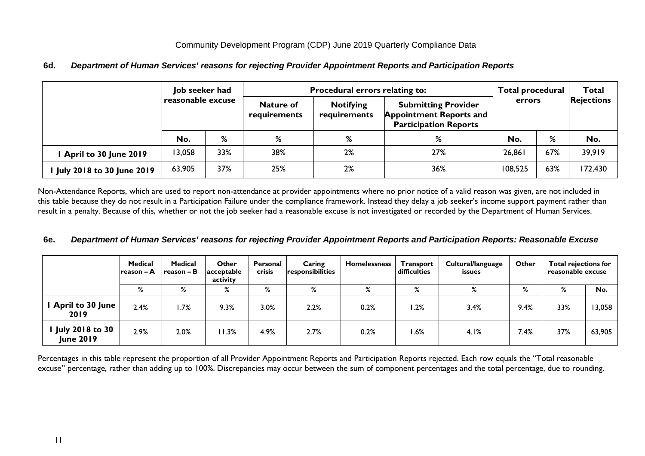# <span id="page-10-0"></span>**6d.** *Department of Human Services' reasons for rejecting Provider Appointment Reports and Participation Reports*

|                           | Job seeker had    |     |                                  | Procedural errors relating to:   | <b>Total procedural</b>                                                                      |         | Total |                   |  |
|---------------------------|-------------------|-----|----------------------------------|----------------------------------|----------------------------------------------------------------------------------------------|---------|-------|-------------------|--|
|                           | reasonable excuse |     | <b>Nature of</b><br>requirements | <b>Notifying</b><br>requirements | <b>Submitting Provider</b><br><b>Appointment Reports and</b><br><b>Participation Reports</b> | errors  |       | <b>Rejections</b> |  |
|                           | No.               | %   | %                                | %                                | %                                                                                            | No.     | %     | No.               |  |
| April to 30 June 2019     | 13,058            | 33% | 38%                              | 2%                               | 27%                                                                                          | 26,861  | 67%   | 39,919            |  |
| July 2018 to 30 June 2019 | 63,905            | 37% | 25%                              | 2%                               | 36%                                                                                          | 108,525 | 63%   | 172,430           |  |

Non-Attendance Reports, which are used to report non-attendance at provider appointments where no prior notice of a valid reason was given, are not included in this table because they do not result in a Participation Failure under the compliance framework. Instead they delay a job seeker's income support payment rather than result in a penalty. Because of this, whether or not the job seeker had a reasonable excuse is not investigated or recorded by the Department of Human Services.

#### <span id="page-10-1"></span>**6e.** *Department of Human Services' reasons for rejecting Provider Appointment Reports and Participation Reports: Reasonable Excuse*

|                                            | <b>Medical</b><br>Ireason – A | Medical<br>$reason - B$ | Other<br>acceptable<br>activity | Personal<br><b>crisis</b> | Caring<br><b>responsibilities</b> | <b>Homelessness</b> | <b>Transport</b><br>difficulties | Cultural/language<br>issues | Other | <b>Total rejections for</b><br>reasonable excuse |        |
|--------------------------------------------|-------------------------------|-------------------------|---------------------------------|---------------------------|-----------------------------------|---------------------|----------------------------------|-----------------------------|-------|--------------------------------------------------|--------|
|                                            | %                             | %                       | %                               | %                         | %                                 | %                   | %                                | %                           | %     | %                                                | No.    |
| <b>April to 30 June</b><br>2019            | 2.4%                          | 1.7%                    | 9.3%                            | 3.0%                      | 2.2%                              | 0.2%                | .2%                              | 3.4%                        | 9.4%  | 33%                                              | 13,058 |
| <b>July 2018 to 30</b><br><b>June 2019</b> | 2.9%                          | 2.0%                    | 11.3%                           | 4.9%                      | 2.7%                              | 0.2%                | .6%                              | 4.1%                        | 7.4%  | 37%                                              | 63,905 |

Percentages in this table represent the proportion of all Provider Appointment Reports and Participation Reports rejected. Each row equals the "Total reasonable excuse" percentage, rather than adding up to 100%. Discrepancies may occur between the sum of component percentages and the total percentage, due to rounding.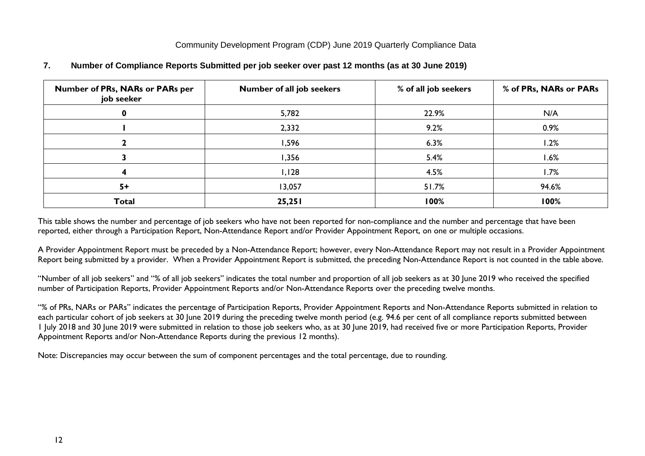| <b>Number of PRs, NARs or PARs per</b><br>job seeker | Number of all job seekers | % of all job seekers | % of PRs, NARs or PARs |
|------------------------------------------------------|---------------------------|----------------------|------------------------|
| 0                                                    | 5,782                     | 22.9%                | N/A                    |
|                                                      | 2,332                     | 9.2%                 | 0.9%                   |
|                                                      | 1,596                     | 6.3%                 | 1.2%                   |
|                                                      | 1,356                     | 5.4%                 | $1.6\%$                |
|                                                      | I, I28                    | 4.5%                 | 1.7%                   |
| $5+$                                                 | 13,057                    | 51.7%                | 94.6%                  |
| <b>Total</b>                                         | 25,251                    | 100%                 | 100%                   |

#### <span id="page-11-0"></span>**7. Number of Compliance Reports Submitted per job seeker over past 12 months (as at 30 June 2019)**

This table shows the number and percentage of job seekers who have not been reported for non-compliance and the number and percentage that have been reported, either through a Participation Report, Non-Attendance Report and/or Provider Appointment Report, on one or multiple occasions.

A Provider Appointment Report must be preceded by a Non-Attendance Report; however, every Non-Attendance Report may not result in a Provider Appointment Report being submitted by a provider. When a Provider Appointment Report is submitted, the preceding Non-Attendance Report is not counted in the table above.

"Number of all job seekers" and "% of all job seekers" indicates the total number and proportion of all job seekers as at 30 June 2019 who received the specified number of Participation Reports, Provider Appointment Reports and/or Non-Attendance Reports over the preceding twelve months.

"% of PRs, NARs or PARs" indicates the percentage of Participation Reports, Provider Appointment Reports and Non-Attendance Reports submitted in relation to each particular cohort of job seekers at 30 June 2019 during the preceding twelve month period (e.g. 94.6 per cent of all compliance reports submitted between 1 July 2018 and 30 June 2019 were submitted in relation to those job seekers who, as at 30 June 2019, had received five or more Participation Reports, Provider Appointment Reports and/or Non-Attendance Reports during the previous 12 months).

Note: Discrepancies may occur between the sum of component percentages and the total percentage, due to rounding.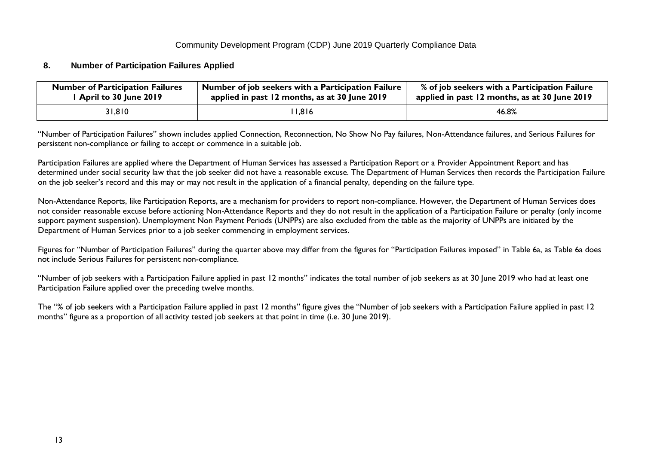#### <span id="page-12-0"></span>**8. Number of Participation Failures Applied**

| <b>Number of Participation Failures</b> | Number of job seekers with a Participation Failure | % of job seekers with a Participation Failure |
|-----------------------------------------|----------------------------------------------------|-----------------------------------------------|
| April to 30 June 2019                   | applied in past 12 months, as at 30 June 2019      | applied in past 12 months, as at 30 June 2019 |
| 31,810                                  | 11,816                                             | 46.8%                                         |

"Number of Participation Failures" shown includes applied Connection, Reconnection, No Show No Pay failures, Non-Attendance failures, and Serious Failures for persistent non-compliance or failing to accept or commence in a suitable job.

Participation Failures are applied where the Department of Human Services has assessed a Participation Report or a Provider Appointment Report and has determined under social security law that the job seeker did not have a reasonable excuse. The Department of Human Services then records the Participation Failure on the job seeker's record and this may or may not result in the application of a financial penalty, depending on the failure type.

Non-Attendance Reports, like Participation Reports, are a mechanism for providers to report non-compliance. However, the Department of Human Services does not consider reasonable excuse before actioning Non-Attendance Reports and they do not result in the application of a Participation Failure or penalty (only income support payment suspension). Unemployment Non Payment Periods (UNPPs) are also excluded from the table as the majority of UNPPs are initiated by the Department of Human Services prior to a job seeker commencing in employment services.

Figures for "Number of Participation Failures" during the quarter above may differ from the figures for "Participation Failures imposed" in Table 6a, as Table 6a does not include Serious Failures for persistent non-compliance.

"Number of job seekers with a Participation Failure applied in past 12 months" indicates the total number of job seekers as at 30 June 2019 who had at least one Participation Failure applied over the preceding twelve months.

The "% of job seekers with a Participation Failure applied in past 12 months" figure gives the "Number of job seekers with a Participation Failure applied in past 12 months" figure as a proportion of all activity tested job seekers at that point in time (i.e. 30 June 2019).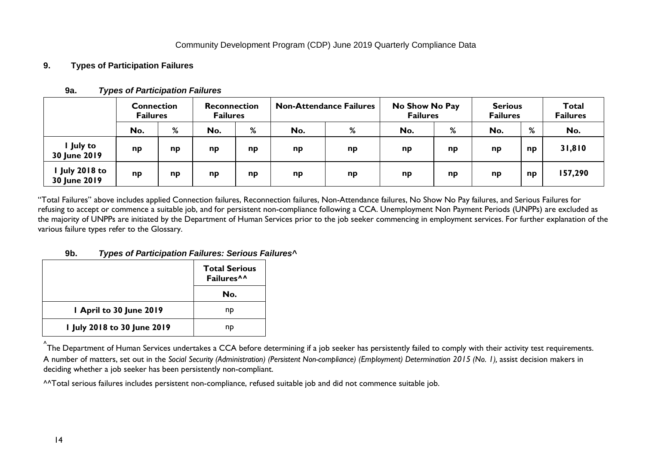# <span id="page-13-1"></span><span id="page-13-0"></span>**9. Types of Participation Failures**

|                                     | <b>Connection</b><br><b>Failures</b> |    | <b>Reconnection</b><br><b>Failures</b> |    |     | <b>Non-Attendance Failures</b> |     | No Show No Pay<br><b>Failures</b> |     | <b>Serious</b><br><b>Failures</b> |         |
|-------------------------------------|--------------------------------------|----|----------------------------------------|----|-----|--------------------------------|-----|-----------------------------------|-----|-----------------------------------|---------|
|                                     | No.                                  | %  | No.                                    | %  | No. | %                              | No. | %                                 | No. | %                                 | No.     |
| l July to<br>30 June 2019           | np                                   | np | np                                     | np | np  | np                             | np  | np                                | np  | np                                | 31,810  |
| <b>July 2018 to</b><br>30 June 2019 | np                                   | np | np                                     | np | np  | np                             | np  | np                                | np  | np                                | 157,290 |

### **9a.** *Types of Participation Failures*

"Total Failures" above includes applied Connection failures, Reconnection failures, Non-Attendance failures, No Show No Pay failures, and Serious Failures for refusing to accept or commence a suitable job, and for persistent non-compliance following a CCA. Unemployment Non Payment Periods (UNPPs) are excluded as the majority of UNPPs are initiated by the Department of Human Services prior to the job seeker commencing in employment services. For further explanation of the various failure types refer to the Glossary.

#### **9b.** *Types of Participation Failures: Serious Failures^*

<span id="page-13-2"></span>

|                             | <b>Total Serious</b><br>Failures <sup>^^</sup> |
|-----------------------------|------------------------------------------------|
|                             | No.                                            |
| 1 April to 30 June 2019     | np                                             |
| I July 2018 to 30 June 2019 | nd                                             |

<sup>^</sup>The Department of Human Services undertakes a CCA before determining if a job seeker has persistently failed to comply with their activity test requirements. A number of matters, set out in the *Social Security (Administration) (Persistent Non-compliance) (Employment) Determination 2015 (No. 1),* assist decision makers in deciding whether a job seeker has been persistently non-compliant.

^^Total serious failures includes persistent non-compliance, refused suitable job and did not commence suitable job.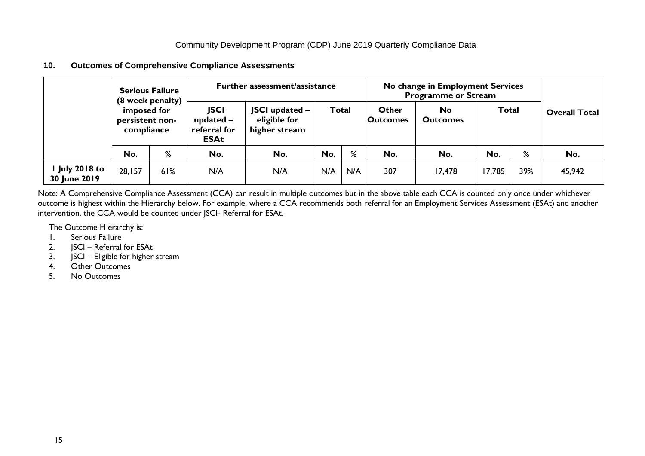<span id="page-14-0"></span>

| 10. |  | <b>Outcomes of Comprehensive Compliance Assessments</b> |  |  |
|-----|--|---------------------------------------------------------|--|--|
|-----|--|---------------------------------------------------------|--|--|

|                              |                                              | <b>Serious Failure</b><br>(8 week penalty) |                                                           |                                                        | <b>Further assessment/assistance</b> |       |                          | No change in Employment Services<br><b>Programme or Stream</b> |              |     |                      |  |
|------------------------------|----------------------------------------------|--------------------------------------------|-----------------------------------------------------------|--------------------------------------------------------|--------------------------------------|-------|--------------------------|----------------------------------------------------------------|--------------|-----|----------------------|--|
|                              | imposed for<br>persistent non-<br>compliance |                                            | <b>JSCI</b><br>updated $-$<br>referral for<br><b>ESAt</b> | <b>JSCI</b> updated -<br>eligible for<br>higher stream |                                      | Total | Other<br><b>Outcomes</b> | <b>No</b><br><b>Outcomes</b>                                   | <b>Total</b> |     | <b>Overall Total</b> |  |
|                              | No.                                          | %                                          | No.                                                       | No.                                                    | No.                                  | %     | No.                      | No.                                                            | No.          | %   | No.                  |  |
| July 2018 to<br>30 June 2019 | 28,157                                       | 61%                                        | N/A                                                       | N/A                                                    | N/A                                  | N/A   | 307                      | 17,478                                                         | 17,785       | 39% | 45,942               |  |

Note: A Comprehensive Compliance Assessment (CCA) can result in multiple outcomes but in the above table each CCA is counted only once under whichever outcome is highest within the Hierarchy below. For example, where a CCA recommends both referral for an Employment Services Assessment (ESAt) and another intervention, the CCA would be counted under JSCI- Referral for ESAt.

The Outcome Hierarchy is:<br>1. Serious Failure

- 1. Serious Failure<br>2. ISCI Referral
- 2.  $JSCI Referral for ESAt$ <br>3.  $ISCI Eligible for higher$

JSCI – Eligible for higher stream

- 4. Other Outcomes
- 5. No Outcomes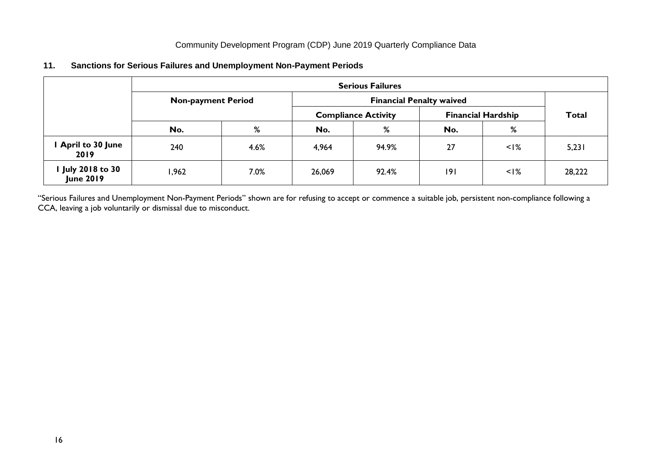# <span id="page-15-0"></span>**11. Sanctions for Serious Failures and Unemployment Non-Payment Periods**

|                                       |                           | <b>Serious Failures</b> |                            |       |                           |              |        |  |  |  |  |  |  |
|---------------------------------------|---------------------------|-------------------------|----------------------------|-------|---------------------------|--------------|--------|--|--|--|--|--|--|
|                                       | <b>Non-payment Period</b> |                         |                            |       |                           |              |        |  |  |  |  |  |  |
|                                       |                           |                         | <b>Compliance Activity</b> |       | <b>Financial Hardship</b> | <b>Total</b> |        |  |  |  |  |  |  |
|                                       | No.                       | %                       | No.                        | %     | No.                       | %            |        |  |  |  |  |  |  |
| <b>April to 30 June</b><br>2019       | 240                       | 4.6%                    | 4,964                      | 94.9% | 27                        | $<$ I%       | 5,231  |  |  |  |  |  |  |
| I July 2018 to 30<br><b>June 2019</b> | l,962                     | 7.0%                    | 26,069                     | 92.4% | 9                         | $<$ I%       | 28,222 |  |  |  |  |  |  |

"Serious Failures and Unemployment Non-Payment Periods" shown are for refusing to accept or commence a suitable job, persistent non-compliance following a CCA, leaving a job voluntarily or dismissal due to misconduct.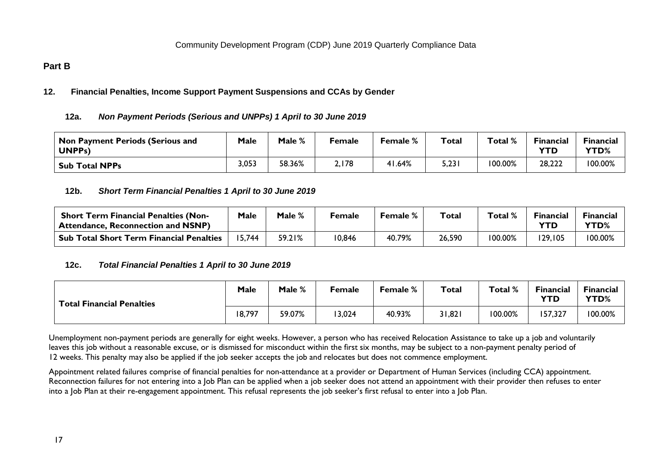# <span id="page-16-1"></span><span id="page-16-0"></span>**Part B**

# <span id="page-16-2"></span>**12. Financial Penalties, Income Support Payment Suspensions and CCAs by Gender**

# **12a.** *Non Payment Periods (Serious and UNPPs) 1 April to 30 June 2019*

| <b>Non Payment Periods (Serious and</b><br>UNPP <sub>s</sub> ) | Male  | Male % | Female | <b>Female %</b> | Total | Total % | Financial<br>YTD | Financial<br>YTD% |
|----------------------------------------------------------------|-------|--------|--------|-----------------|-------|---------|------------------|-------------------|
| <b>Sub Total NPPs</b>                                          | 3,053 | 58.36% | 2,178  | 1.64%           | 5,231 | 100.00% | 28,222           | 100.00%           |

# <span id="page-16-3"></span>**12b.** *Short Term Financial Penalties 1 April to 30 June 2019*

| <b>Short Term Financial Penalties (Non-</b><br>Attendance, Reconnection and NSNP) | Male  | Male % | <b>Female</b> | <b>Female</b> % | Total  | Total $\%$ | <b>Financial</b> | Financial<br><b>YTD%</b> |
|-----------------------------------------------------------------------------------|-------|--------|---------------|-----------------|--------|------------|------------------|--------------------------|
| <b>Sub Total Short Term Financial Penalties</b>                                   | 5.744 | 59.21% | 10,846        | 40.79%          | 26,590 | 100.00%    | 129,105          | 100.00%                  |

# <span id="page-16-4"></span>**12c.** *Total Financial Penalties 1 April to 30 June 2019*

| <b>Total Financial Penalties</b> | Male   | Male % | Female | <b>Female %</b> | Total  | Total % | <b>Financial</b><br><b>YTD</b> | Financial<br>YTD% |
|----------------------------------|--------|--------|--------|-----------------|--------|---------|--------------------------------|-------------------|
|                                  | 18,797 | 59.07% | 13,024 | 40.93%          | 31,821 | 100.00% | 57,327                         | 100.00%           |

Unemployment non-payment periods are generally for eight weeks. However, a person who has received Relocation Assistance to take up a job and voluntarily leaves this job without a reasonable excuse, or is dismissed for misconduct within the first six months, may be subject to a non-payment penalty period of 12 weeks. This penalty may also be applied if the job seeker accepts the job and relocates but does not commence employment.

Appointment related failures comprise of financial penalties for non-attendance at a provider or Department of Human Services (including CCA) appointment. Reconnection failures for not entering into a lob Plan can be applied when a job seeker does not attend an appointment with their provider then refuses to enter into a Job Plan at their re-engagement appointment. This refusal represents the job seeker's first refusal to enter into a Job Plan.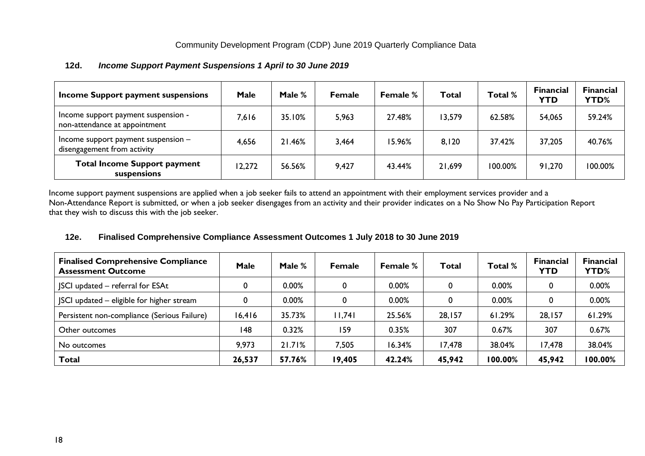| Income Support payment suspensions                                   | <b>Male</b> | Male % | <b>Female</b> | <b>Female</b> % | <b>Total</b> | Total % | <b>Financial</b><br><b>YTD</b> | <b>Financial</b><br><b>YTD%</b> |
|----------------------------------------------------------------------|-------------|--------|---------------|-----------------|--------------|---------|--------------------------------|---------------------------------|
| Income support payment suspension -<br>non-attendance at appointment | 7,616       | 35.10% | 5,963         | 27.48%          | 13,579       | 62.58%  | 54,065                         | 59.24%                          |
| Income support payment suspension $-$<br>disengagement from activity | 4,656       | 21.46% | 3,464         | 15.96%          | 8,120        | 37.42%  | 37,205                         | 40.76%                          |
| <b>Total Income Support payment</b><br>suspensions                   | 12,272      | 56.56% | 9,427         | 43.44%          | 21,699       | 100.00% | 91,270                         | 100.00%                         |

#### <span id="page-17-0"></span>**12d.** *Income Support Payment Suspensions 1 April to 30 June 2019*

Income support payment suspensions are applied when a job seeker fails to attend an appointment with their employment services provider and a Non-Attendance Report is submitted, or when a job seeker disengages from an activity and their provider indicates on a No Show No Pay Participation Report that they wish to discuss this with the job seeker.

# <span id="page-17-1"></span>**12e. Finalised Comprehensive Compliance Assessment Outcomes 1 July 2018 to 30 June 2019**

| <b>Finalised Comprehensive Compliance</b><br><b>Assessment Outcome</b> | <b>Male</b> | Male $%$ | <b>Female</b> | <b>Female %</b> | Total  | Total % | <b>Financial</b><br><b>YTD</b> | <b>Financial</b><br><b>YTD%</b> |
|------------------------------------------------------------------------|-------------|----------|---------------|-----------------|--------|---------|--------------------------------|---------------------------------|
| SCI updated - referral for ESAt                                        |             | 0.00%    | 0             | 0.00%           |        | 0.00%   |                                | 0.00%                           |
| JSCI updated - eligible for higher stream                              |             | 0.00%    | 0             | 0.00%           |        | 0.00%   |                                | 0.00%                           |
| Persistent non-compliance (Serious Failure)                            | 16,416      | 35.73%   | 11,741        | 25.56%          | 28,157 | 61.29%  | 28,157                         | 61.29%                          |
| Other outcomes                                                         | 148         | 0.32%    | 159           | 0.35%           | 307    | 0.67%   | 307                            | 0.67%                           |
| No outcomes                                                            | 9,973       | 21.71%   | 7,505         | 16.34%          | 17,478 | 38.04%  | 17,478                         | 38.04%                          |
| <b>Total</b>                                                           | 26,537      | 57.76%   | 19,405        | 42.24%          | 45,942 | 100.00% | 45,942                         | 100.00%                         |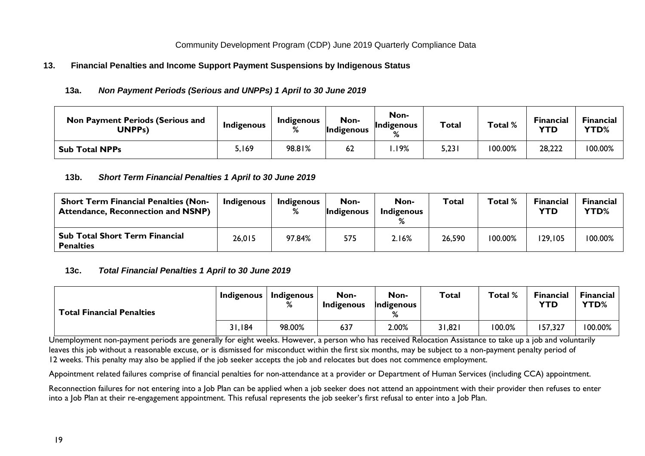# <span id="page-18-1"></span><span id="page-18-0"></span>**13. Financial Penalties and Income Support Payment Suspensions by Indigenous Status**

### **13a.** *Non Payment Periods (Serious and UNPPs) 1 April to 30 June 2019*

| <b>Non Payment Periods (Serious and</b><br>UNPPs) | Indigenous | Indigenous<br>% | Non-<br>Indigenous | Non-<br><b>Indigenous</b><br>% | Total | Total % | <b>Financial</b><br><b>YTD</b> | <b>Financial</b><br><b>YTD%</b> |
|---------------------------------------------------|------------|-----------------|--------------------|--------------------------------|-------|---------|--------------------------------|---------------------------------|
| <b>Sub Total NPPs</b>                             | 5,169      | 98.81%          | 62                 | .19%                           | 5,231 | 100.00% | 28,222                         | 100.00%                         |

#### <span id="page-18-2"></span>**13b.** *Short Term Financial Penalties 1 April to 30 June 2019*

| <b>Short Term Financial Penalties (Non-</b><br><b>Attendance, Reconnection and NSNP)</b> | <b>Indigenous</b> | <b>Indigenous</b><br>% | Non-<br>Indigenous | Non-<br>Indigenous | <b>Total</b> | Total % | <b>Financial</b><br><b>YTD</b> | <b>Financial</b><br><b>YTD%</b> |
|------------------------------------------------------------------------------------------|-------------------|------------------------|--------------------|--------------------|--------------|---------|--------------------------------|---------------------------------|
| Sub Total Short Term Financial<br><b>Penalties</b>                                       | 26,015            | 97.84%                 | 575                | 2.16%              | 26,590       | 100.00% | 129,105                        | 100.00%                         |

#### <span id="page-18-3"></span>**13c.** *Total Financial Penalties 1 April to 30 June 2019*

| <b>Total Financial Penalties</b> | <b>Indigenous</b> | <b>Indigenous</b><br>% | Non-<br><b>Indigenous</b> | Non-<br>Indigenous<br>℅ | Total  | Total % | <b>Financial</b><br><b>YTD</b> | <b>Financial</b><br>YTD% |
|----------------------------------|-------------------|------------------------|---------------------------|-------------------------|--------|---------|--------------------------------|--------------------------|
|                                  | 31,184            | 98.00%                 | 637                       | 2.00%                   | 31,821 | 100.0%  | 157,327                        | 100.00%                  |

Unemployment non-payment periods are generally for eight weeks. However, a person who has received Relocation Assistance to take up a job and voluntarily leaves this job without a reasonable excuse, or is dismissed for misconduct within the first six months, may be subject to a non-payment penalty period of 12 weeks. This penalty may also be applied if the job seeker accepts the job and relocates but does not commence employment.

Appointment related failures comprise of financial penalties for non-attendance at a provider or Department of Human Services (including CCA) appointment.

Reconnection failures for not entering into a Job Plan can be applied when a job seeker does not attend an appointment with their provider then refuses to enter into a Job Plan at their re-engagement appointment. This refusal represents the job seeker's first refusal to enter into a Job Plan.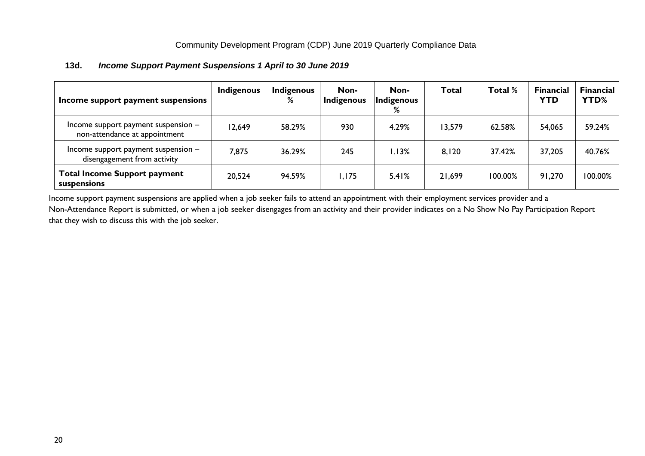12,649 58.29% 930 4.29% 13,579 62.58% 54,065 59.24%

7,875 36.29% 245 1.13% 8,120 37.42% 37,205 40.76%

20,524 | 94.59% | I,I75 | 5.41% | 21,699 | I00.00% | 91,270 |100.00%

**Total Total % Financial** 

**YTD**

**Financial YTD%**

<span id="page-19-0"></span>

| Income support payment suspensions | <b>Indigenous</b> | <b>Indigenous</b><br>% | Non-<br><b>Indigenous</b> | Non-<br>Indigenous<br>% | Total |
|------------------------------------|-------------------|------------------------|---------------------------|-------------------------|-------|

#### **13d.** *Income Support Payment Suspensions 1 April to 30 June 2019*

Income support payment suspension – non-attendance at appointment

Income support payment suspension – disengagement from activity

**Total Income Support payment** 

**suspensions**

Income support payment suspensions are applied when a job seeker fails to attend an appointment with their employment services provider and a Non-Attendance Report is submitted, or when a job seeker disengages from an activity and their provider indicates on a No Show No Pay Participation Report that they wish to discuss this with the job seeker.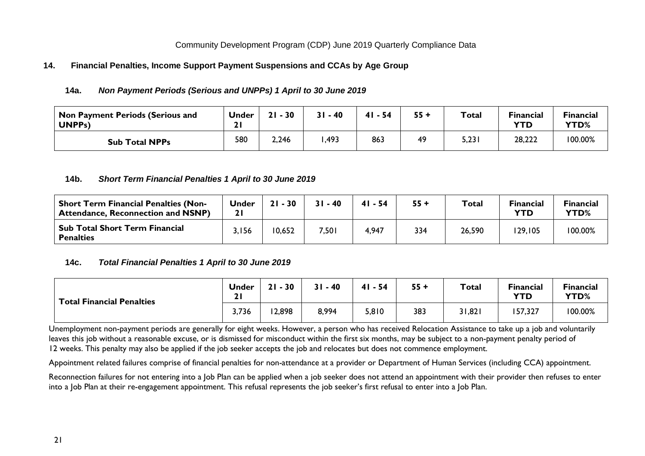#### <span id="page-20-1"></span><span id="page-20-0"></span>**14. Financial Penalties, Income Support Payment Suspensions and CCAs by Age Group**

#### **14a.** *Non Payment Periods (Serious and UNPPs) 1 April to 30 June 2019*

| <b>Non Payment Periods (Serious and</b><br>UNPP <sub>s</sub> ) | <b>Under</b><br>. . | 30<br>21 | 31 - 40 | $41 - 54$ | 55 + | <b>Total</b> | <b>Financial</b><br><b>YTD</b> | <b>Financial</b><br>YTD% |
|----------------------------------------------------------------|---------------------|----------|---------|-----------|------|--------------|--------------------------------|--------------------------|
| <b>Sub Total NPPs</b>                                          | 580                 | 2,246    | ,493    | 863       | 49   | 5,23         | 28,222                         | 100.00%                  |

#### <span id="page-20-2"></span>**14b.** *Short Term Financial Penalties 1 April to 30 June 2019*

| <b>Short Term Financial Penalties (Non-</b><br><b>Attendance, Reconnection and NSNP)</b> | <b>Under</b> | $21 - 30$ | $-40$ | $41 - 54$ | $55 +$ | <b>Total</b> | <b>Financial</b><br><b>YTD</b> | <b>Financial</b><br>YTD% |
|------------------------------------------------------------------------------------------|--------------|-----------|-------|-----------|--------|--------------|--------------------------------|--------------------------|
| Sub Total Short Term Financial<br><b>Penalties</b>                                       | 3,156        | 10,652    | 7,501 | 4,947     | 334    | 26,590       | 129,105                        | 100.00%                  |

# <span id="page-20-3"></span>**14c.** *Total Financial Penalties 1 April to 30 June 2019*

| <b>Total Financial Penalties</b> | <b>Under</b><br>ຳ<br><u> 41</u> | $-30$<br>21 | $-40$ | $41 - 54$ | $55 +$ | <b>Total</b> | <b>Financial</b><br><b>YTD</b> | <b>Financial</b><br><b>YTD%</b> |
|----------------------------------|---------------------------------|-------------|-------|-----------|--------|--------------|--------------------------------|---------------------------------|
|                                  | 3,736                           | 12,898      | 8,994 | 5,810     | 383    | 31,821       | 157,327                        | 100.00%                         |

Unemployment non-payment periods are generally for eight weeks. However, a person who has received Relocation Assistance to take up a job and voluntarily leaves this job without a reasonable excuse, or is dismissed for misconduct within the first six months, may be subject to a non-payment penalty period of 12 weeks. This penalty may also be applied if the job seeker accepts the job and relocates but does not commence employment.

Appointment related failures comprise of financial penalties for non-attendance at a provider or Department of Human Services (including CCA) appointment.

Reconnection failures for not entering into a Job Plan can be applied when a job seeker does not attend an appointment with their provider then refuses to enter into a Job Plan at their re-engagement appointment. This refusal represents the job seeker's first refusal to enter into a Job Plan.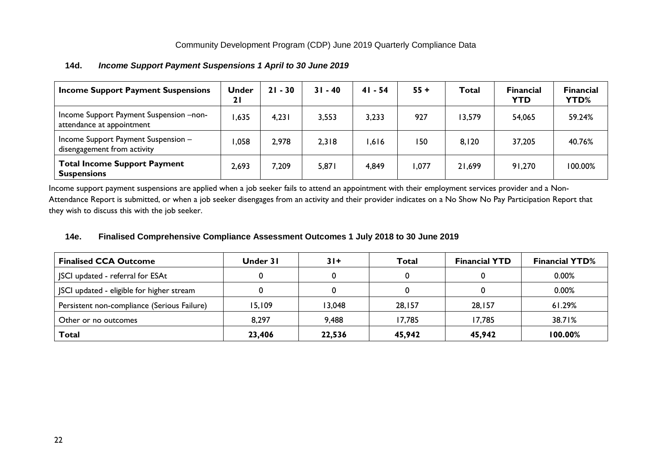| <b>Income Support Payment Suspensions</b>                            | <b>Under</b><br>21 | $21 - 30$ | $31 - 40$ | $41 - 54$ | $55 +$ | Total  | <b>Financial</b><br><b>YTD</b> | <b>Financial</b><br>YTD% |
|----------------------------------------------------------------------|--------------------|-----------|-----------|-----------|--------|--------|--------------------------------|--------------------------|
| Income Support Payment Suspension -non-<br>attendance at appointment | ,635               | 4,231     | 3,553     | 3,233     | 927    | 13,579 | 54,065                         | 59.24%                   |
| Income Support Payment Suspension -<br>disengagement from activity   | ,058               | 2,978     | 2,318     | .616      | 150    | 8,120  | 37,205                         | 40.76%                   |
| <b>Total Income Support Payment</b><br><b>Suspensions</b>            | 2,693              | 7,209     | 5,871     | 4,849     | ,077   | 21,699 | 91,270                         | 100.00%                  |

# <span id="page-21-0"></span>**14d.** *Income Support Payment Suspensions 1 April to 30 June 2019*

Income support payment suspensions are applied when a job seeker fails to attend an appointment with their employment services provider and a Non-Attendance Report is submitted, or when a job seeker disengages from an activity and their provider indicates on a No Show No Pay Participation Report that they wish to discuss this with the job seeker.

# <span id="page-21-1"></span>**14e. Finalised Comprehensive Compliance Assessment Outcomes 1 July 2018 to 30 June 2019**

| <b>Finalised CCA Outcome</b>                | Under 31 | $31+$  | Total  | <b>Financial YTD</b> | <b>Financial YTD%</b> |
|---------------------------------------------|----------|--------|--------|----------------------|-----------------------|
| SCI updated - referral for ESAt             |          |        |        |                      | 0.00%                 |
| JSCI updated - eligible for higher stream   |          |        |        |                      | 0.00%                 |
| Persistent non-compliance (Serious Failure) | 15,109   | 13,048 | 28,157 | 28,157               | 61.29%                |
| Other or no outcomes                        | 8,297    | 9,488  | 17,785 | 17,785               | 38.71%                |
| Total                                       | 23,406   | 22,536 | 45,942 | 45,942               | 100.00%               |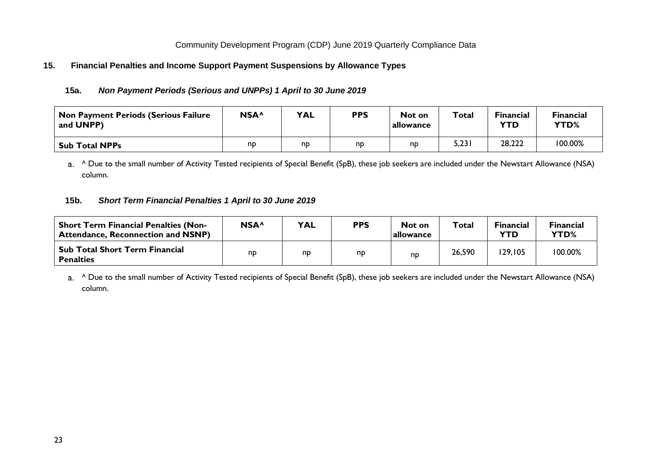# <span id="page-22-1"></span><span id="page-22-0"></span>**15. Financial Penalties and Income Support Payment Suspensions by Allowance Types**

# **15a.** *Non Payment Periods (Serious and UNPPs) 1 April to 30 June 2019*

| Non Payment Periods (Serious Failure<br>and UNPP) | NSA <sup>^</sup> | <b>YAL</b> | <b>PPS</b> | Not on<br>allowance | <b>Total</b> | <b>Financial</b><br><b>YTD</b> | <b>Financial</b><br>YTD% |
|---------------------------------------------------|------------------|------------|------------|---------------------|--------------|--------------------------------|--------------------------|
| Sub Total NPPs                                    | np               | np         | np         | nd                  | 5,231        | 28,222                         | 100.00%                  |

a. ^ Due to the small number of Activity Tested recipients of Special Benefit (SpB), these job seekers are included under the Newstart Allowance (NSA) column.

# <span id="page-22-2"></span>**15b.** *Short Term Financial Penalties 1 April to 30 June 2019*

| <b>Short Term Financial Penalties (Non-</b><br><b>Attendance, Reconnection and NSNP)</b> | NSA <sup>^</sup> | <b>YAL</b> | <b>PPS</b> | Not on<br><b>lallowance</b> | Total  | <b>Financial</b><br>YTD | <b>Financial</b><br><b>YTD%</b> |
|------------------------------------------------------------------------------------------|------------------|------------|------------|-----------------------------|--------|-------------------------|---------------------------------|
| <b>Sub Total Short Term Financial</b><br><b>Penalties</b>                                | np               | np         | np         | np                          | 26,590 | 129,105                 | 100.00%                         |

a. <sup>^</sup> Due to the small number of Activity Tested recipients of Special Benefit (SpB), these job seekers are included under the Newstart Allowance (NSA) column.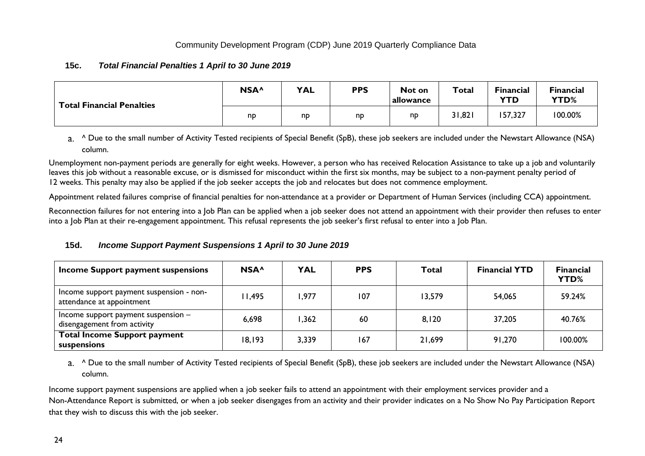# <span id="page-23-0"></span>**15c.** *Total Financial Penalties 1 April to 30 June 2019*

| <b>Total Financial Penalties</b> | NSA <sup>^</sup> | <b>YAL</b> | <b>PPS</b> | Not on<br>allowance | Total  | <b>Financial</b><br><b>YTD</b> | <b>Financial</b><br><b>YTD%</b> |
|----------------------------------|------------------|------------|------------|---------------------|--------|--------------------------------|---------------------------------|
|                                  | nd               | np         | np         | np                  | 31,821 | 157,327                        | 100.00%                         |

a. <sup>^</sup> Due to the small number of Activity Tested recipients of Special Benefit (SpB), these job seekers are included under the Newstart Allowance (NSA) column.

Unemployment non-payment periods are generally for eight weeks. However, a person who has received Relocation Assistance to take up a job and voluntarily leaves this job without a reasonable excuse, or is dismissed for misconduct within the first six months, may be subject to a non-payment penalty period of 12 weeks. This penalty may also be applied if the job seeker accepts the job and relocates but does not commence employment.

Appointment related failures comprise of financial penalties for non-attendance at a provider or Department of Human Services (including CCA) appointment.

Reconnection failures for not entering into a Job Plan can be applied when a job seeker does not attend an appointment with their provider then refuses to enter into a Job Plan at their re-engagement appointment. This refusal represents the job seeker's first refusal to enter into a Job Plan.

# <span id="page-23-1"></span>**15d.** *Income Support Payment Suspensions 1 April to 30 June 2019*

| Income Support payment suspensions                                    | NSA <sup>^</sup> | <b>YAL</b> | <b>PPS</b> | Total  | <b>Financial YTD</b> | <b>Financial</b><br><b>YTD%</b> |
|-----------------------------------------------------------------------|------------------|------------|------------|--------|----------------------|---------------------------------|
| Income support payment suspension - non-<br>attendance at appointment | II,495           | 977,۱      | 107        | 13,579 | 54,065               | 59.24%                          |
| Income support payment suspension $-$<br>disengagement from activity  | 6,698            | , 362      | 60         | 8,120  | 37,205               | 40.76%                          |
| <b>Total Income Support payment</b><br>suspensions                    | 18,193           | 3,339      | 167        | 21,699 | 91,270               | 100.00%                         |

a. <sup>A</sup> Due to the small number of Activity Tested recipients of Special Benefit (SpB), these job seekers are included under the Newstart Allowance (NSA) column.

Income support payment suspensions are applied when a job seeker fails to attend an appointment with their employment services provider and a Non-Attendance Report is submitted, or when a job seeker disengages from an activity and their provider indicates on a No Show No Pay Participation Report that they wish to discuss this with the job seeker.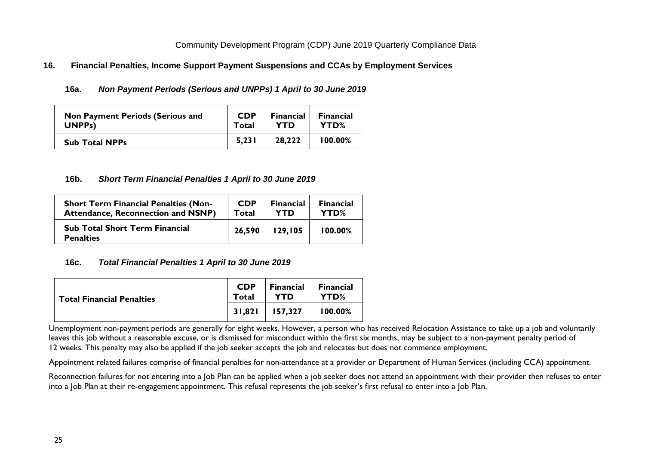### <span id="page-24-1"></span><span id="page-24-0"></span>**16. Financial Penalties, Income Support Payment Suspensions and CCAs by Employment Services**

#### **16a.** *Non Payment Periods (Serious and UNPPs) 1 April to 30 June 2019*

| <b>Non Payment Periods (Serious and</b> | <b>CDP</b> | <b>Financial</b> | <b>Financial</b> |
|-----------------------------------------|------------|------------------|------------------|
| UNPP <sub>s</sub> )                     | Total      | YTD              | YTD%             |
| <b>Sub Total NPPs</b>                   | 5,231      | 28,222           | $100.00\%$       |

#### <span id="page-24-2"></span>**16b.** *Short Term Financial Penalties 1 April to 30 June 2019*

| <b>Short Term Financial Penalties (Non-</b>               | <b>CDP</b> | <b>Financial</b> | <b>Financial</b> |
|-----------------------------------------------------------|------------|------------------|------------------|
| <b>Attendance, Reconnection and NSNP)</b>                 | Total      | <b>YTD</b>       | YTD%             |
| <b>Sub Total Short Term Financial</b><br><b>Penalties</b> | 26,590     | 129,105          | $100.00\%$       |

#### <span id="page-24-3"></span>**16c.** *Total Financial Penalties 1 April to 30 June 2019*

| <b>Total Financial Penalties</b> | <b>CDP</b><br>Total | <b>Financial</b><br><b>YTD</b> | <b>Financial</b><br>YTD% |
|----------------------------------|---------------------|--------------------------------|--------------------------|
|                                  | 31.821              | 157.327                        | 100.00%                  |

Unemployment non-payment periods are generally for eight weeks. However, a person who has received Relocation Assistance to take up a job and voluntarily leaves this job without a reasonable excuse, or is dismissed for misconduct within the first six months, may be subject to a non-payment penalty period of 12 weeks. This penalty may also be applied if the job seeker accepts the job and relocates but does not commence employment.

Appointment related failures comprise of financial penalties for non-attendance at a provider or Department of Human Services (including CCA) appointment.

Reconnection failures for not entering into a Job Plan can be applied when a job seeker does not attend an appointment with their provider then refuses to enter into a Job Plan at their re-engagement appointment. This refusal represents the job seeker's first refusal to enter into a Job Plan.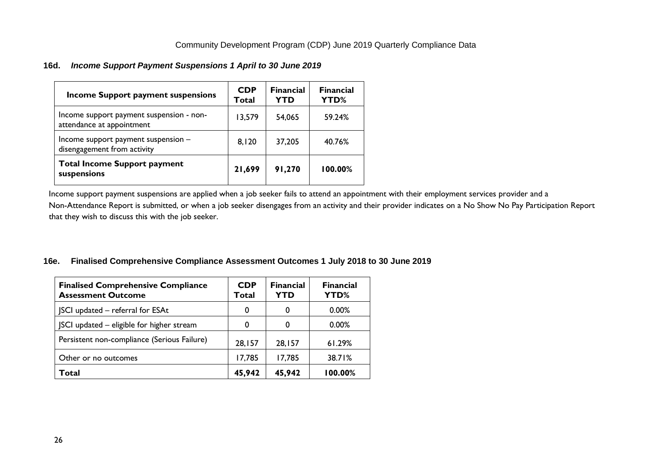# <span id="page-25-0"></span>**16d.** *Income Support Payment Suspensions 1 April to 30 June 2019*

| Income Support payment suspensions                                    | <b>CDP</b><br>Total | <b>Financial</b><br><b>YTD</b> | <b>Financial</b><br><b>YTD%</b> |
|-----------------------------------------------------------------------|---------------------|--------------------------------|---------------------------------|
| Income support payment suspension - non-<br>attendance at appointment | 13,579              | 54,065                         | 59.24%                          |
| Income support payment suspension -<br>disengagement from activity    | 8,120               | 37,205                         | 40.76%                          |
| <b>Total Income Support payment</b><br>suspensions                    | 21,699              | 91,270                         | 100.00%                         |

Income support payment suspensions are applied when a job seeker fails to attend an appointment with their employment services provider and a Non-Attendance Report is submitted, or when a job seeker disengages from an activity and their provider indicates on a No Show No Pay Participation Report that they wish to discuss this with the job seeker.

# <span id="page-25-1"></span>**16e. Finalised Comprehensive Compliance Assessment Outcomes 1 July 2018 to 30 June 2019**

| <b>Finalised Comprehensive Compliance</b><br><b>Assessment Outcome</b> | <b>CDP</b><br>Total | <b>Financial</b><br><b>YTD</b> | <b>Financial</b><br>YTD% |
|------------------------------------------------------------------------|---------------------|--------------------------------|--------------------------|
| SCI updated - referral for ESAt                                        | 0                   | 0                              | 0.00%                    |
| SCI updated – eligible for higher stream                               | 0                   | 0                              | 0.00%                    |
| Persistent non-compliance (Serious Failure)                            | 28,157              | 28,157                         | 61.29%                   |
| Other or no outcomes                                                   | 17,785              | 17,785                         | 38.71%                   |
| Total                                                                  | 45,942              | 45,942                         | 100.00%                  |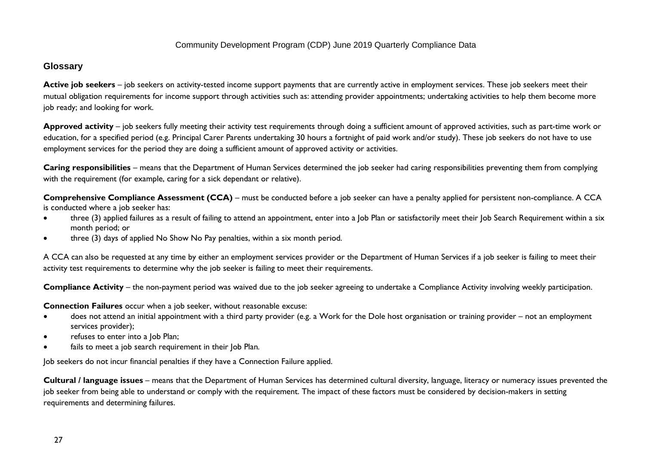# **Glossary**

Active job seekers – job seekers on activity-tested income support payments that are currently active in employment services. These job seekers meet their mutual obligation requirements for income support through activities such as: attending provider appointments; undertaking activities to help them become more job ready; and looking for work.

**Approved activity** – job seekers fully meeting their activity test requirements through doing a sufficient amount of approved activities, such as part-time work or education, for a specified period (e.g. Principal Carer Parents undertaking 30 hours a fortnight of paid work and/or study). These job seekers do not have to use employment services for the period they are doing a sufficient amount of approved activity or activities.

**Caring responsibilities** – means that the Department of Human Services determined the job seeker had caring responsibilities preventing them from complying with the requirement (for example, caring for a sick dependant or relative).

**Comprehensive Compliance Assessment (CCA)** – must be conducted before a job seeker can have a penalty applied for persistent non-compliance. A CCA is conducted where a job seeker has:

- three (3) applied failures as a result of failing to attend an appointment, enter into a Job Plan or satisfactorily meet their Job Search Requirement within a six month period; or
- three (3) days of applied No Show No Pay penalties, within a six month period.

A CCA can also be requested at any time by either an employment services provider or the Department of Human Services if a job seeker is failing to meet their activity test requirements to determine why the job seeker is failing to meet their requirements.

**Compliance Activity** – the non-payment period was waived due to the job seeker agreeing to undertake a Compliance Activity involving weekly participation.

**Connection Failures** occur when a job seeker, without reasonable excuse:

- does not attend an initial appointment with a third party provider (e.g. a Work for the Dole host organisation or training provider not an employment services provider);
- refuses to enter into a Job Plan;
- fails to meet a job search requirement in their Job Plan.

Job seekers do not incur financial penalties if they have a Connection Failure applied.

**Cultural / language issues** – means that the Department of Human Services has determined cultural diversity, language, literacy or numeracy issues prevented the job seeker from being able to understand or comply with the requirement. The impact of these factors must be considered by decision-makers in setting requirements and determining failures.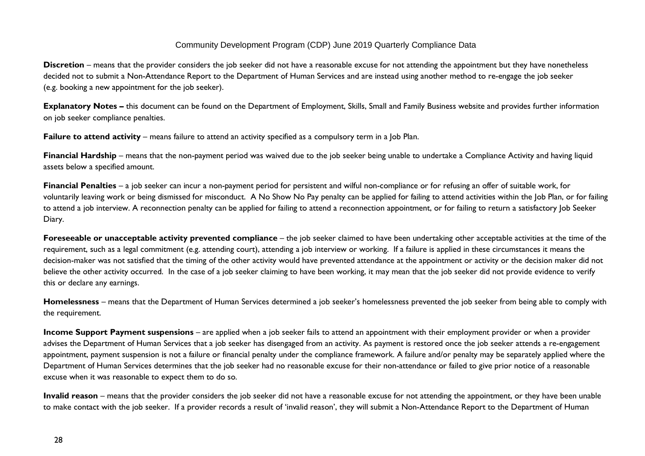**Discretion** – means that the provider considers the job seeker did not have a reasonable excuse for not attending the appointment but they have nonetheless decided not to submit a Non-Attendance Report to the Department of Human Services and are instead using another method to re-engage the job seeker (e.g. booking a new appointment for the job seeker).

**Explanatory Notes –** this document can be found on the Department of Employment, Skills, Small and Family Business website and provides further information on job seeker compliance penalties.

**Failure to attend activity** – means failure to attend an activity specified as a compulsory term in a Job Plan.

**Financial Hardship** – means that the non-payment period was waived due to the job seeker being unable to undertake a Compliance Activity and having liquid assets below a specified amount.

**Financial Penalties** – a job seeker can incur a non-payment period for persistent and wilful non-compliance or for refusing an offer of suitable work, for voluntarily leaving work or being dismissed for misconduct. A No Show No Pay penalty can be applied for failing to attend activities within the Job Plan, or for failing to attend a job interview. A reconnection penalty can be applied for failing to attend a reconnection appointment, or for failing to return a satisfactory Job Seeker Diary.

**Foreseeable or unacceptable activity prevented compliance** – the job seeker claimed to have been undertaking other acceptable activities at the time of the requirement, such as a legal commitment (e.g. attending court), attending a job interview or working. If a failure is applied in these circumstances it means the decision-maker was not satisfied that the timing of the other activity would have prevented attendance at the appointment or activity or the decision maker did not believe the other activity occurred. In the case of a job seeker claiming to have been working, it may mean that the job seeker did not provide evidence to verify this or declare any earnings.

**Homelessness** – means that the Department of Human Services determined a job seeker's homelessness prevented the job seeker from being able to comply with the requirement.

**Income Support Payment suspensions** – are applied when a job seeker fails to attend an appointment with their employment provider or when a provider advises the Department of Human Services that a job seeker has disengaged from an activity. As payment is restored once the job seeker attends a re-engagement appointment, payment suspension is not a failure or financial penalty under the compliance framework. A failure and/or penalty may be separately applied where the Department of Human Services determines that the job seeker had no reasonable excuse for their non-attendance or failed to give prior notice of a reasonable excuse when it was reasonable to expect them to do so.

**Invalid reason** – means that the provider considers the job seeker did not have a reasonable excuse for not attending the appointment, or they have been unable to make contact with the job seeker. If a provider records a result of 'invalid reason', they will submit a Non-Attendance Report to the Department of Human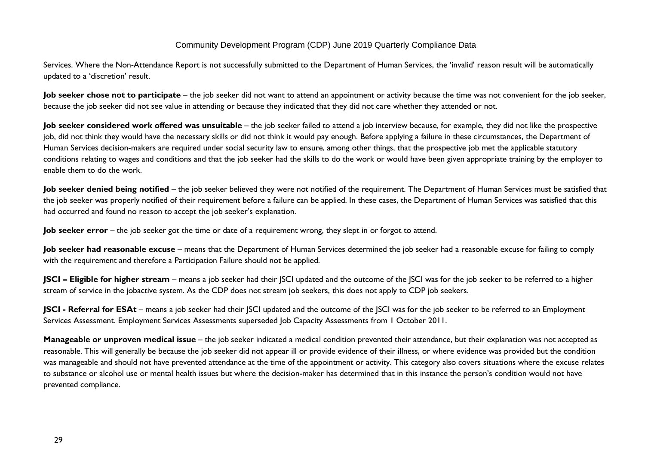Services. Where the Non-Attendance Report is not successfully submitted to the Department of Human Services, the 'invalid' reason result will be automatically updated to a 'discretion' result.

**Job seeker chose not to participate** – the job seeker did not want to attend an appointment or activity because the time was not convenient for the job seeker, because the job seeker did not see value in attending or because they indicated that they did not care whether they attended or not.

**Job seeker considered work offered was unsuitable** – the job seeker failed to attend a job interview because, for example, they did not like the prospective job, did not think they would have the necessary skills or did not think it would pay enough. Before applying a failure in these circumstances, the Department of Human Services decision-makers are required under social security law to ensure, among other things, that the prospective job met the applicable statutory conditions relating to wages and conditions and that the job seeker had the skills to do the work or would have been given appropriate training by the employer to enable them to do the work.

Job seeker denied being notified – the job seeker believed they were not notified of the requirement. The Department of Human Services must be satisfied that the job seeker was properly notified of their requirement before a failure can be applied. In these cases, the Department of Human Services was satisfied that this had occurred and found no reason to accept the job seeker's explanation.

**Job seeker error** – the job seeker got the time or date of a requirement wrong, they slept in or forgot to attend.

Job seeker had reasonable excuse – means that the Department of Human Services determined the job seeker had a reasonable excuse for failing to comply with the requirement and therefore a Participation Failure should not be applied.

**JSCI – Eligible for higher stream** – means a job seeker had their JSCI updated and the outcome of the JSCI was for the job seeker to be referred to a higher stream of service in the jobactive system. As the CDP does not stream job seekers, this does not apply to CDP job seekers.

**JSCI** - **Referral for ESAt** – means a job seeker had their JSCI updated and the outcome of the JSCI was for the job seeker to be referred to an Employment Services Assessment. Employment Services Assessments superseded Job Capacity Assessments from 1 October 2011.

**Manageable or unproven medical issue** – the job seeker indicated a medical condition prevented their attendance, but their explanation was not accepted as reasonable. This will generally be because the job seeker did not appear ill or provide evidence of their illness, or where evidence was provided but the condition was manageable and should not have prevented attendance at the time of the appointment or activity. This category also covers situations where the excuse relates to substance or alcohol use or mental health issues but where the decision-maker has determined that in this instance the person's condition would not have prevented compliance.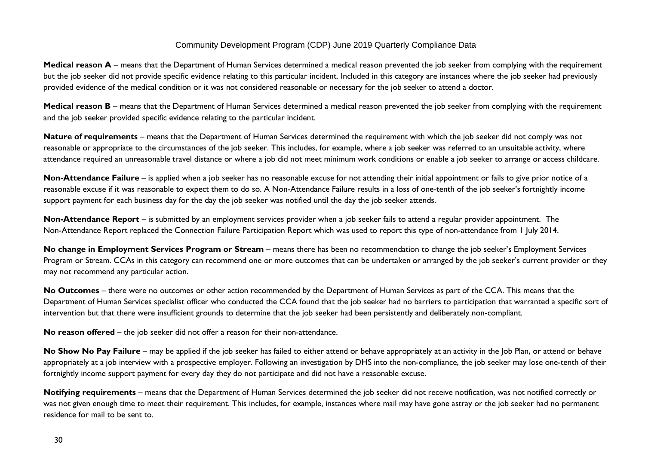**Medical reason A** – means that the Department of Human Services determined a medical reason prevented the job seeker from complying with the requirement but the job seeker did not provide specific evidence relating to this particular incident. Included in this category are instances where the job seeker had previously provided evidence of the medical condition or it was not considered reasonable or necessary for the job seeker to attend a doctor.

**Medical reason B** – means that the Department of Human Services determined a medical reason prevented the job seeker from complying with the requirement and the job seeker provided specific evidence relating to the particular incident.

**Nature of requirements** – means that the Department of Human Services determined the requirement with which the job seeker did not comply was not reasonable or appropriate to the circumstances of the job seeker. This includes, for example, where a job seeker was referred to an unsuitable activity, where attendance required an unreasonable travel distance or where a job did not meet minimum work conditions or enable a job seeker to arrange or access childcare.

**Non-Attendance Failure** – is applied when a job seeker has no reasonable excuse for not attending their initial appointment or fails to give prior notice of a reasonable excuse if it was reasonable to expect them to do so. A Non-Attendance Failure results in a loss of one-tenth of the job seeker's fortnightly income support payment for each business day for the day the job seeker was notified until the day the job seeker attends.

**Non-Attendance Report** – is submitted by an employment services provider when a job seeker fails to attend a regular provider appointment. The Non-Attendance Report replaced the Connection Failure Participation Report which was used to report this type of non-attendance from 1 July 2014.

**No change in Employment Services Program or Stream** – means there has been no recommendation to change the job seeker's Employment Services Program or Stream. CCAs in this category can recommend one or more outcomes that can be undertaken or arranged by the job seeker's current provider or they may not recommend any particular action.

**No Outcomes** – there were no outcomes or other action recommended by the Department of Human Services as part of the CCA. This means that the Department of Human Services specialist officer who conducted the CCA found that the job seeker had no barriers to participation that warranted a specific sort of intervention but that there were insufficient grounds to determine that the job seeker had been persistently and deliberately non-compliant.

**No reason offered** – the job seeker did not offer a reason for their non-attendance.

No Show No Pay Failure – may be applied if the job seeker has failed to either attend or behave appropriately at an activity in the Job Plan, or attend or behave appropriately at a job interview with a prospective employer. Following an investigation by DHS into the non-compliance, the job seeker may lose one-tenth of their fortnightly income support payment for every day they do not participate and did not have a reasonable excuse.

**Notifying requirements** – means that the Department of Human Services determined the job seeker did not receive notification, was not notified correctly or was not given enough time to meet their requirement. This includes, for example, instances where mail may have gone astray or the job seeker had no permanent residence for mail to be sent to.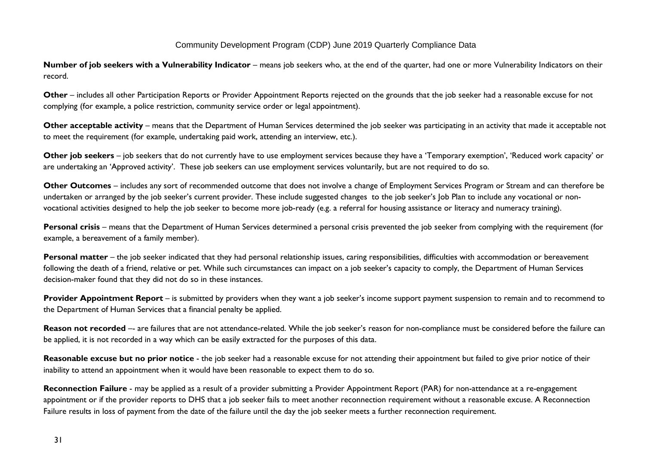**Number of job seekers with a Vulnerability Indicator** – means job seekers who, at the end of the quarter, had one or more Vulnerability Indicators on their record.

**Other** – includes all other Participation Reports or Provider Appointment Reports rejected on the grounds that the job seeker had a reasonable excuse for not complying (for example, a police restriction, community service order or legal appointment).

**Other acceptable activity** – means that the Department of Human Services determined the job seeker was participating in an activity that made it acceptable not to meet the requirement (for example, undertaking paid work, attending an interview, etc.).

**Other job seekers** – job seekers that do not currently have to use employment services because they have a 'Temporary exemption', 'Reduced work capacity' or are undertaking an 'Approved activity'. These job seekers can use employment services voluntarily, but are not required to do so.

**Other Outcomes** – includes any sort of recommended outcome that does not involve a change of Employment Services Program or Stream and can therefore be undertaken or arranged by the job seeker's current provider. These include suggested changes to the job seeker's Job Plan to include any vocational or nonvocational activities designed to help the job seeker to become more job-ready (e.g. a referral for housing assistance or literacy and numeracy training).

Personal crisis – means that the Department of Human Services determined a personal crisis prevented the job seeker from complying with the requirement (for example, a bereavement of a family member).

Personal matter – the job seeker indicated that they had personal relationship issues, caring responsibilities, difficulties with accommodation or bereavement following the death of a friend, relative or pet. While such circumstances can impact on a job seeker's capacity to comply, the Department of Human Services decision-maker found that they did not do so in these instances.

**Provider Appointment Report** – is submitted by providers when they want a job seeker's income support payment suspension to remain and to recommend to the Department of Human Services that a financial penalty be applied.

**Reason not recorded** -- are failures that are not attendance-related. While the job seeker's reason for non-compliance must be considered before the failure can be applied, it is not recorded in a way which can be easily extracted for the purposes of this data.

**Reasonable excuse but no prior notice** - the job seeker had a reasonable excuse for not attending their appointment but failed to give prior notice of their inability to attend an appointment when it would have been reasonable to expect them to do so.

**Reconnection Failure** - may be applied as a result of a provider submitting a Provider Appointment Report (PAR) for non-attendance at a re-engagement appointment or if the provider reports to DHS that a job seeker fails to meet another reconnection requirement without a reasonable excuse. A Reconnection Failure results in loss of payment from the date of the failure until the day the job seeker meets a further reconnection requirement.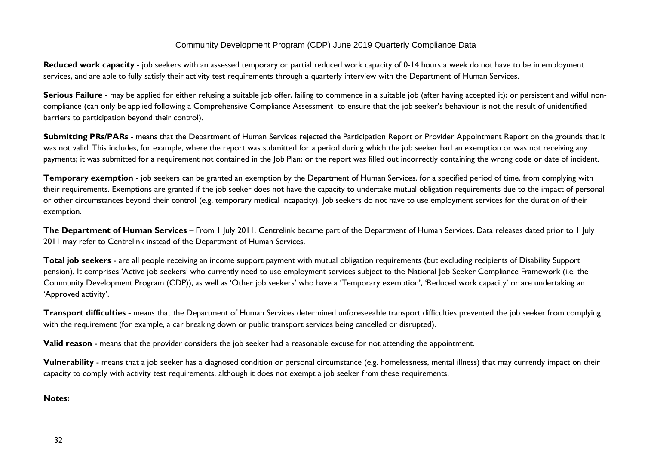**Reduced work capacity** - job seekers with an assessed temporary or partial reduced work capacity of 0-14 hours a week do not have to be in employment services, and are able to fully satisfy their activity test requirements through a quarterly interview with the Department of Human Services.

**Serious Failure** - may be applied for either refusing a suitable job offer, failing to commence in a suitable job (after having accepted it); or persistent and wilful noncompliance (can only be applied following a Comprehensive Compliance Assessment to ensure that the job seeker's behaviour is not the result of unidentified barriers to participation beyond their control).

**Submitting PRs/PARs** - means that the Department of Human Services rejected the Participation Report or Provider Appointment Report on the grounds that it was not valid. This includes, for example, where the report was submitted for a period during which the job seeker had an exemption or was not receiving any payments; it was submitted for a requirement not contained in the Job Plan; or the report was filled out incorrectly containing the wrong code or date of incident.

**Temporary exemption** - job seekers can be granted an exemption by the Department of Human Services, for a specified period of time, from complying with their requirements. Exemptions are granted if the job seeker does not have the capacity to undertake mutual obligation requirements due to the impact of personal or other circumstances beyond their control (e.g. temporary medical incapacity). Job seekers do not have to use employment services for the duration of their exemption.

**The Department of Human Services** – From 1 July 2011, Centrelink became part of the Department of Human Services. Data releases dated prior to 1 July 2011 may refer to Centrelink instead of the Department of Human Services.

Total job seekers - are all people receiving an income support payment with mutual obligation requirements (but excluding recipients of Disability Support pension). It comprises 'Active job seekers' who currently need to use employment services subject to the National Job Seeker Compliance Framework (i.e. the Community Development Program (CDP)), as well as 'Other job seekers' who have a 'Temporary exemption', 'Reduced work capacity' or are undertaking an 'Approved activity'.

**Transport difficulties -** means that the Department of Human Services determined unforeseeable transport difficulties prevented the job seeker from complying with the requirement (for example, a car breaking down or public transport services being cancelled or disrupted).

**Valid reason** - means that the provider considers the job seeker had a reasonable excuse for not attending the appointment.

**Vulnerability** - means that a job seeker has a diagnosed condition or personal circumstance (e.g. homelessness, mental illness) that may currently impact on their capacity to comply with activity test requirements, although it does not exempt a job seeker from these requirements.

**Notes:**